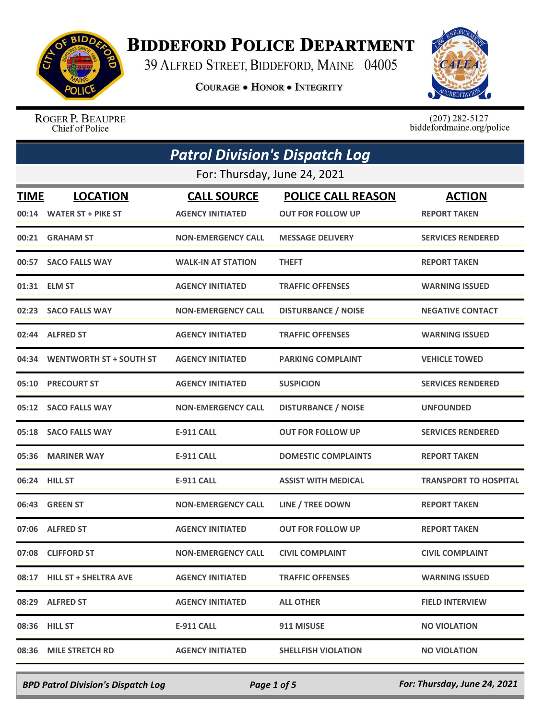

## **BIDDEFORD POLICE DEPARTMENT**

39 ALFRED STREET, BIDDEFORD, MAINE 04005

**COURAGE . HONOR . INTEGRITY** 



ROGER P. BEAUPRE Chief of Police

 $(207)$  282-5127<br>biddefordmaine.org/police

|       | <b>Patrol Division's Dispatch Log</b>       |                                               |                                                       |                                      |
|-------|---------------------------------------------|-----------------------------------------------|-------------------------------------------------------|--------------------------------------|
|       |                                             | For: Thursday, June 24, 2021                  |                                                       |                                      |
| TIME  | <b>LOCATION</b><br>00:14 WATER ST + PIKE ST | <b>CALL SOURCE</b><br><b>AGENCY INITIATED</b> | <b>POLICE CALL REASON</b><br><b>OUT FOR FOLLOW UP</b> | <b>ACTION</b><br><b>REPORT TAKEN</b> |
|       | 00:21 GRAHAM ST                             | <b>NON-EMERGENCY CALL</b>                     | <b>MESSAGE DELIVERY</b>                               | <b>SERVICES RENDERED</b>             |
| 00:57 | <b>SACO FALLS WAY</b>                       | <b>WALK-IN AT STATION</b>                     | <b>THEFT</b>                                          | <b>REPORT TAKEN</b>                  |
| 01:31 | <b>ELM ST</b>                               | <b>AGENCY INITIATED</b>                       | <b>TRAFFIC OFFENSES</b>                               | <b>WARNING ISSUED</b>                |
|       | 02:23 SACO FALLS WAY                        | <b>NON-EMERGENCY CALL</b>                     | <b>DISTURBANCE / NOISE</b>                            | <b>NEGATIVE CONTACT</b>              |
| 02:44 | <b>ALFRED ST</b>                            | <b>AGENCY INITIATED</b>                       | <b>TRAFFIC OFFENSES</b>                               | <b>WARNING ISSUED</b>                |
| 04:34 | <b>WENTWORTH ST + SOUTH ST</b>              | <b>AGENCY INITIATED</b>                       | <b>PARKING COMPLAINT</b>                              | <b>VEHICLE TOWED</b>                 |
| 05:10 | <b>PRECOURT ST</b>                          | <b>AGENCY INITIATED</b>                       | <b>SUSPICION</b>                                      | <b>SERVICES RENDERED</b>             |
| 05:12 | <b>SACO FALLS WAY</b>                       | <b>NON-EMERGENCY CALL</b>                     | <b>DISTURBANCE / NOISE</b>                            | <b>UNFOUNDED</b>                     |
|       | 05:18 SACO FALLS WAY                        | <b>E-911 CALL</b>                             | <b>OUT FOR FOLLOW UP</b>                              | <b>SERVICES RENDERED</b>             |
| 05:36 | <b>MARINER WAY</b>                          | <b>E-911 CALL</b>                             | <b>DOMESTIC COMPLAINTS</b>                            | <b>REPORT TAKEN</b>                  |
|       | 06:24 HILL ST                               | <b>E-911 CALL</b>                             | <b>ASSIST WITH MEDICAL</b>                            | <b>TRANSPORT TO HOSPITAL</b>         |
| 06:43 | <b>GREEN ST</b>                             | <b>NON-EMERGENCY CALL</b>                     | LINE / TREE DOWN                                      | <b>REPORT TAKEN</b>                  |
|       | 07:06 ALFRED ST                             | <b>AGENCY INITIATED</b>                       | <b>OUT FOR FOLLOW UP</b>                              | <b>REPORT TAKEN</b>                  |
|       | 07:08 CLIFFORD ST                           | <b>NON-EMERGENCY CALL</b>                     | <b>CIVIL COMPLAINT</b>                                | <b>CIVIL COMPLAINT</b>               |
|       | 08:17 HILL ST + SHELTRA AVE                 | <b>AGENCY INITIATED</b>                       | <b>TRAFFIC OFFENSES</b>                               | <b>WARNING ISSUED</b>                |
|       | 08:29 ALFRED ST                             | <b>AGENCY INITIATED</b>                       | <b>ALL OTHER</b>                                      | <b>FIELD INTERVIEW</b>               |
|       | 08:36 HILL ST                               | E-911 CALL                                    | 911 MISUSE                                            | <b>NO VIOLATION</b>                  |
|       | 08:36 MILE STRETCH RD                       | <b>AGENCY INITIATED</b>                       | <b>SHELLFISH VIOLATION</b>                            | <b>NO VIOLATION</b>                  |

*BPD Patrol Division's Dispatch Log Page 1 of 5 For: Thursday, June 24, 2021*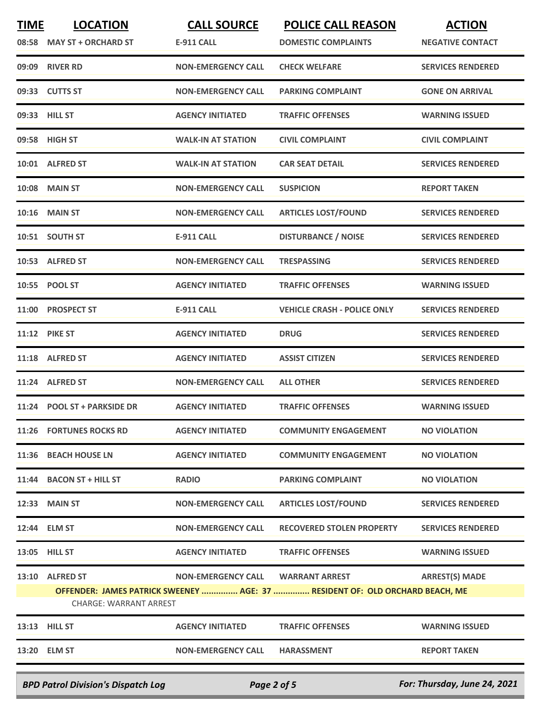| <b>TIME</b> | <b>LOCATION</b>                           | <b>CALL SOURCE</b>        | <b>POLICE CALL REASON</b>                                                    | <b>ACTION</b>                |
|-------------|-------------------------------------------|---------------------------|------------------------------------------------------------------------------|------------------------------|
|             | 08:58 MAY ST + ORCHARD ST                 | <b>E-911 CALL</b>         | <b>DOMESTIC COMPLAINTS</b>                                                   | <b>NEGATIVE CONTACT</b>      |
|             | 09:09 RIVER RD                            | <b>NON-EMERGENCY CALL</b> | <b>CHECK WELFARE</b>                                                         | <b>SERVICES RENDERED</b>     |
|             | 09:33 CUTTS ST                            | <b>NON-EMERGENCY CALL</b> | <b>PARKING COMPLAINT</b>                                                     | <b>GONE ON ARRIVAL</b>       |
|             | 09:33 HILL ST                             | <b>AGENCY INITIATED</b>   | <b>TRAFFIC OFFENSES</b>                                                      | <b>WARNING ISSUED</b>        |
|             | 09:58 HIGH ST                             | <b>WALK-IN AT STATION</b> | <b>CIVIL COMPLAINT</b>                                                       | <b>CIVIL COMPLAINT</b>       |
|             | 10:01 ALFRED ST                           | <b>WALK-IN AT STATION</b> | <b>CAR SEAT DETAIL</b>                                                       | <b>SERVICES RENDERED</b>     |
| 10:08       | <b>MAIN ST</b>                            | <b>NON-EMERGENCY CALL</b> | <b>SUSPICION</b>                                                             | <b>REPORT TAKEN</b>          |
|             | 10:16 MAIN ST                             | <b>NON-EMERGENCY CALL</b> | <b>ARTICLES LOST/FOUND</b>                                                   | <b>SERVICES RENDERED</b>     |
|             | 10:51 SOUTH ST                            | <b>E-911 CALL</b>         | <b>DISTURBANCE / NOISE</b>                                                   | <b>SERVICES RENDERED</b>     |
|             | 10:53 ALFRED ST                           | <b>NON-EMERGENCY CALL</b> | <b>TRESPASSING</b>                                                           | <b>SERVICES RENDERED</b>     |
|             | 10:55 POOL ST                             | <b>AGENCY INITIATED</b>   | <b>TRAFFIC OFFENSES</b>                                                      | <b>WARNING ISSUED</b>        |
| 11:00       | <b>PROSPECT ST</b>                        | <b>E-911 CALL</b>         | <b>VEHICLE CRASH - POLICE ONLY</b>                                           | <b>SERVICES RENDERED</b>     |
| 11:12       | <b>PIKE ST</b>                            | <b>AGENCY INITIATED</b>   | <b>DRUG</b>                                                                  | <b>SERVICES RENDERED</b>     |
|             | 11:18 ALFRED ST                           | <b>AGENCY INITIATED</b>   | <b>ASSIST CITIZEN</b>                                                        | <b>SERVICES RENDERED</b>     |
|             | 11:24 ALFRED ST                           | <b>NON-EMERGENCY CALL</b> | <b>ALL OTHER</b>                                                             | <b>SERVICES RENDERED</b>     |
|             | 11:24 POOL ST + PARKSIDE DR               | <b>AGENCY INITIATED</b>   | <b>TRAFFIC OFFENSES</b>                                                      | <b>WARNING ISSUED</b>        |
|             | 11:26 FORTUNES ROCKS RD                   | <b>AGENCY INITIATED</b>   | <b>COMMUNITY ENGAGEMENT</b>                                                  | <b>NO VIOLATION</b>          |
|             | 11:36 BEACH HOUSE LN                      | <b>AGENCY INITIATED</b>   | <b>COMMUNITY ENGAGEMENT</b>                                                  | <b>NO VIOLATION</b>          |
|             | 11:44 BACON ST + HILL ST                  | <b>RADIO</b>              | <b>PARKING COMPLAINT</b>                                                     | <b>NO VIOLATION</b>          |
|             | 12:33 MAIN ST                             | <b>NON-EMERGENCY CALL</b> | <b>ARTICLES LOST/FOUND</b>                                                   | <b>SERVICES RENDERED</b>     |
|             | 12:44 ELM ST                              | <b>NON-EMERGENCY CALL</b> | <b>RECOVERED STOLEN PROPERTY</b>                                             | <b>SERVICES RENDERED</b>     |
|             | 13:05 HILL ST                             | <b>AGENCY INITIATED</b>   | <b>TRAFFIC OFFENSES</b>                                                      | <b>WARNING ISSUED</b>        |
|             | 13:10 ALFRED ST                           | <b>NON-EMERGENCY CALL</b> | <b>WARRANT ARREST</b>                                                        | <b>ARREST(S) MADE</b>        |
|             | <b>CHARGE: WARRANT ARREST</b>             |                           | OFFENDER: JAMES PATRICK SWEENEY  AGE: 37  RESIDENT OF: OLD ORCHARD BEACH, ME |                              |
|             | 13:13 HILL ST                             | <b>AGENCY INITIATED</b>   | <b>TRAFFIC OFFENSES</b>                                                      | <b>WARNING ISSUED</b>        |
|             | 13:20 ELM ST                              | <b>NON-EMERGENCY CALL</b> | <b>HARASSMENT</b>                                                            | <b>REPORT TAKEN</b>          |
|             | <b>BPD Patrol Division's Dispatch Log</b> |                           | Page 2 of 5                                                                  | For: Thursday, June 24, 2021 |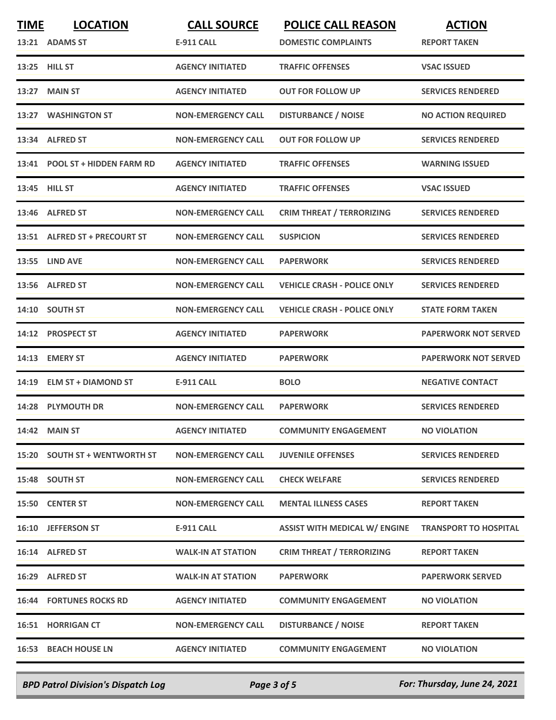| <b>TIME</b> | <b>LOCATION</b><br>13:21 ADAMS ST | <b>CALL SOURCE</b><br><b>E-911 CALL</b> | <b>POLICE CALL REASON</b><br><b>DOMESTIC COMPLAINTS</b> | <b>ACTION</b><br><b>REPORT TAKEN</b> |
|-------------|-----------------------------------|-----------------------------------------|---------------------------------------------------------|--------------------------------------|
|             | 13:25 HILL ST                     | <b>AGENCY INITIATED</b>                 | <b>TRAFFIC OFFENSES</b>                                 | <b>VSAC ISSUED</b>                   |
| 13:27       | <b>MAIN ST</b>                    | <b>AGENCY INITIATED</b>                 | <b>OUT FOR FOLLOW UP</b>                                | <b>SERVICES RENDERED</b>             |
|             | 13:27 WASHINGTON ST               | <b>NON-EMERGENCY CALL</b>               | <b>DISTURBANCE / NOISE</b>                              | <b>NO ACTION REQUIRED</b>            |
| 13:34       | <b>ALFRED ST</b>                  | <b>NON-EMERGENCY CALL</b>               | <b>OUT FOR FOLLOW UP</b>                                | <b>SERVICES RENDERED</b>             |
|             | 13:41 POOL ST + HIDDEN FARM RD    | <b>AGENCY INITIATED</b>                 | <b>TRAFFIC OFFENSES</b>                                 | <b>WARNING ISSUED</b>                |
|             | 13:45 HILL ST                     | <b>AGENCY INITIATED</b>                 | <b>TRAFFIC OFFENSES</b>                                 | <b>VSAC ISSUED</b>                   |
|             | 13:46 ALFRED ST                   | <b>NON-EMERGENCY CALL</b>               | <b>CRIM THREAT / TERRORIZING</b>                        | <b>SERVICES RENDERED</b>             |
|             | 13:51 ALFRED ST + PRECOURT ST     | <b>NON-EMERGENCY CALL</b>               | <b>SUSPICION</b>                                        | <b>SERVICES RENDERED</b>             |
|             | <b>13:55 LIND AVE</b>             | <b>NON-EMERGENCY CALL</b>               | <b>PAPERWORK</b>                                        | <b>SERVICES RENDERED</b>             |
|             | 13:56 ALFRED ST                   | <b>NON-EMERGENCY CALL</b>               | <b>VEHICLE CRASH - POLICE ONLY</b>                      | <b>SERVICES RENDERED</b>             |
| 14:10       | <b>SOUTH ST</b>                   | <b>NON-EMERGENCY CALL</b>               | <b>VEHICLE CRASH - POLICE ONLY</b>                      | <b>STATE FORM TAKEN</b>              |
| 14:12       | <b>PROSPECT ST</b>                | <b>AGENCY INITIATED</b>                 | <b>PAPERWORK</b>                                        | <b>PAPERWORK NOT SERVED</b>          |
| 14:13       | <b>EMERY ST</b>                   | <b>AGENCY INITIATED</b>                 | <b>PAPERWORK</b>                                        | <b>PAPERWORK NOT SERVED</b>          |
|             | 14:19 ELM ST + DIAMOND ST         | <b>E-911 CALL</b>                       | <b>BOLO</b>                                             | <b>NEGATIVE CONTACT</b>              |
| 14:28       | <b>PLYMOUTH DR</b>                | <b>NON-EMERGENCY CALL</b>               | <b>PAPERWORK</b>                                        | <b>SERVICES RENDERED</b>             |
|             | 14:42 MAIN ST                     | <b>AGENCY INITIATED</b>                 | <b>COMMUNITY ENGAGEMENT</b>                             | <b>NO VIOLATION</b>                  |
|             | 15:20 SOUTH ST + WENTWORTH ST     | <b>NON-EMERGENCY CALL</b>               | <b>JUVENILE OFFENSES</b>                                | <b>SERVICES RENDERED</b>             |
|             | 15:48 SOUTH ST                    | <b>NON-EMERGENCY CALL</b>               | <b>CHECK WELFARE</b>                                    | <b>SERVICES RENDERED</b>             |
|             | 15:50 CENTER ST                   | <b>NON-EMERGENCY CALL</b>               | <b>MENTAL ILLNESS CASES</b>                             | <b>REPORT TAKEN</b>                  |
|             | 16:10 JEFFERSON ST                | <b>E-911 CALL</b>                       | <b>ASSIST WITH MEDICAL W/ ENGINE</b>                    | <b>TRANSPORT TO HOSPITAL</b>         |
|             | 16:14 ALFRED ST                   | <b>WALK-IN AT STATION</b>               | <b>CRIM THREAT / TERRORIZING</b>                        | <b>REPORT TAKEN</b>                  |
|             | 16:29 ALFRED ST                   | <b>WALK-IN AT STATION</b>               | <b>PAPERWORK</b>                                        | <b>PAPERWORK SERVED</b>              |
|             | <b>16:44 FORTUNES ROCKS RD</b>    | <b>AGENCY INITIATED</b>                 | <b>COMMUNITY ENGAGEMENT</b>                             | <b>NO VIOLATION</b>                  |
|             | <b>16:51 HORRIGAN CT</b>          | <b>NON-EMERGENCY CALL</b>               | <b>DISTURBANCE / NOISE</b>                              | <b>REPORT TAKEN</b>                  |
|             | <b>16:53 BEACH HOUSE LN</b>       | <b>AGENCY INITIATED</b>                 | <b>COMMUNITY ENGAGEMENT</b>                             | <b>NO VIOLATION</b>                  |
|             |                                   |                                         |                                                         |                                      |

*BPD Patrol Division's Dispatch Log Page 3 of 5 For: Thursday, June 24, 2021*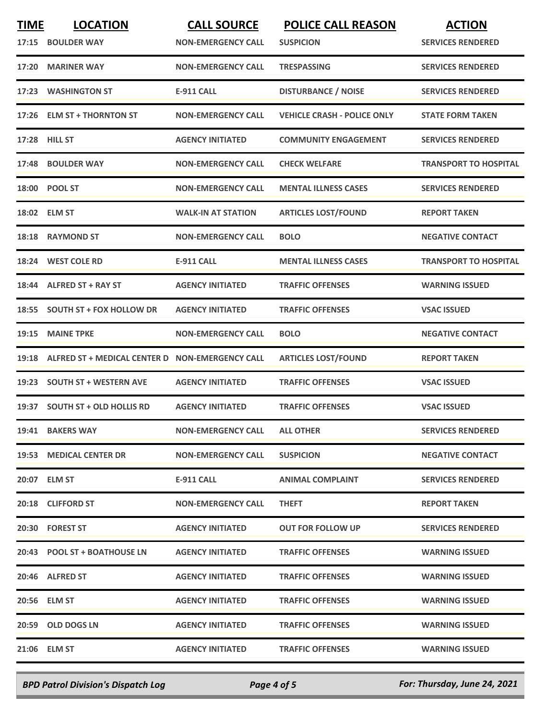| <b>TIME</b> | <b>LOCATION</b>                                 | <b>CALL SOURCE</b>        | <b>POLICE CALL REASON</b>          | <b>ACTION</b>                |
|-------------|-------------------------------------------------|---------------------------|------------------------------------|------------------------------|
| 17:15       | <b>BOULDER WAY</b>                              | <b>NON-EMERGENCY CALL</b> | <b>SUSPICION</b>                   | <b>SERVICES RENDERED</b>     |
|             | 17:20 MARINER WAY                               | <b>NON-EMERGENCY CALL</b> | <b>TRESPASSING</b>                 | <b>SERVICES RENDERED</b>     |
|             | 17:23 WASHINGTON ST                             | <b>E-911 CALL</b>         | <b>DISTURBANCE / NOISE</b>         | <b>SERVICES RENDERED</b>     |
|             | 17:26 ELM ST + THORNTON ST                      | <b>NON-EMERGENCY CALL</b> | <b>VEHICLE CRASH - POLICE ONLY</b> | <b>STATE FORM TAKEN</b>      |
|             | 17:28 HILL ST                                   | <b>AGENCY INITIATED</b>   | <b>COMMUNITY ENGAGEMENT</b>        | <b>SERVICES RENDERED</b>     |
|             | 17:48 BOULDER WAY                               | <b>NON-EMERGENCY CALL</b> | <b>CHECK WELFARE</b>               | <b>TRANSPORT TO HOSPITAL</b> |
|             | 18:00 POOL ST                                   | <b>NON-EMERGENCY CALL</b> | <b>MENTAL ILLNESS CASES</b>        | <b>SERVICES RENDERED</b>     |
|             | 18:02 ELM ST                                    | <b>WALK-IN AT STATION</b> | <b>ARTICLES LOST/FOUND</b>         | <b>REPORT TAKEN</b>          |
| 18:18       | <b>RAYMOND ST</b>                               | <b>NON-EMERGENCY CALL</b> | <b>BOLO</b>                        | <b>NEGATIVE CONTACT</b>      |
|             | 18:24 WEST COLE RD                              | <b>E-911 CALL</b>         | <b>MENTAL ILLNESS CASES</b>        | <b>TRANSPORT TO HOSPITAL</b> |
|             | 18:44 ALFRED ST + RAY ST                        | <b>AGENCY INITIATED</b>   | <b>TRAFFIC OFFENSES</b>            | <b>WARNING ISSUED</b>        |
| 18:55       | <b>SOUTH ST + FOX HOLLOW DR</b>                 | <b>AGENCY INITIATED</b>   | <b>TRAFFIC OFFENSES</b>            | <b>VSAC ISSUED</b>           |
| 19:15       | <b>MAINE TPKE</b>                               | <b>NON-EMERGENCY CALL</b> | <b>BOLO</b>                        | <b>NEGATIVE CONTACT</b>      |
| 19:18       | ALFRED ST + MEDICAL CENTER D NON-EMERGENCY CALL |                           | <b>ARTICLES LOST/FOUND</b>         | <b>REPORT TAKEN</b>          |
|             | 19:23 SOUTH ST + WESTERN AVE                    | <b>AGENCY INITIATED</b>   | <b>TRAFFIC OFFENSES</b>            | <b>VSAC ISSUED</b>           |
| 19:37       | <b>SOUTH ST + OLD HOLLIS RD</b>                 | <b>AGENCY INITIATED</b>   | <b>TRAFFIC OFFENSES</b>            | <b>VSAC ISSUED</b>           |
|             | 19:41 BAKERS WAY                                | <b>NON-EMERGENCY CALL</b> | <b>ALL OTHER</b>                   | <b>SERVICES RENDERED</b>     |
|             | 19:53 MEDICAL CENTER DR                         | <b>NON-EMERGENCY CALL</b> | <b>SUSPICION</b>                   | <b>NEGATIVE CONTACT</b>      |
|             | 20:07 ELM ST                                    | E-911 CALL                | <b>ANIMAL COMPLAINT</b>            | <b>SERVICES RENDERED</b>     |
|             | 20:18 CLIFFORD ST                               | <b>NON-EMERGENCY CALL</b> | <b>THEFT</b>                       | <b>REPORT TAKEN</b>          |
|             | 20:30 FOREST ST                                 | <b>AGENCY INITIATED</b>   | <b>OUT FOR FOLLOW UP</b>           | <b>SERVICES RENDERED</b>     |
|             | 20:43 POOL ST + BOATHOUSE LN                    | <b>AGENCY INITIATED</b>   | <b>TRAFFIC OFFENSES</b>            | <b>WARNING ISSUED</b>        |
|             | 20:46 ALFRED ST                                 | <b>AGENCY INITIATED</b>   | <b>TRAFFIC OFFENSES</b>            | <b>WARNING ISSUED</b>        |
|             | 20:56 ELM ST                                    | <b>AGENCY INITIATED</b>   | <b>TRAFFIC OFFENSES</b>            | <b>WARNING ISSUED</b>        |
|             | 20:59 OLD DOGS LN                               | <b>AGENCY INITIATED</b>   | <b>TRAFFIC OFFENSES</b>            | <b>WARNING ISSUED</b>        |
|             | 21:06 ELM ST                                    | <b>AGENCY INITIATED</b>   | <b>TRAFFIC OFFENSES</b>            | <b>WARNING ISSUED</b>        |

*BPD Patrol Division's Dispatch Log Page 4 of 5 For: Thursday, June 24, 2021*